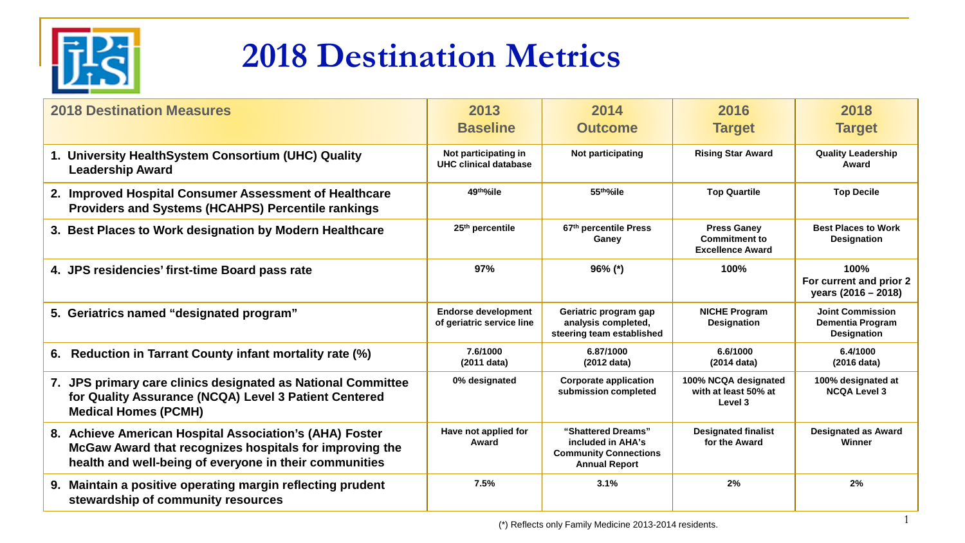

## **2018 Destination Metrics**

| <b>2018 Destination Measures</b>                                                                                                                                             | 2013<br><b>Baseline</b>                                 | 2014<br><b>Outcome</b>                                                                          | 2016<br><b>Target</b>                                                 | 2018<br><b>Target</b>                                                    |
|------------------------------------------------------------------------------------------------------------------------------------------------------------------------------|---------------------------------------------------------|-------------------------------------------------------------------------------------------------|-----------------------------------------------------------------------|--------------------------------------------------------------------------|
| 1. University HealthSystem Consortium (UHC) Quality<br><b>Leadership Award</b>                                                                                               | Not participating in<br>UHC clinical database           | Not participating                                                                               | <b>Rising Star Award</b>                                              | <b>Quality Leadership</b><br>Award                                       |
| 2. Improved Hospital Consumer Assessment of Healthcare<br><b>Providers and Systems (HCAHPS) Percentile rankings</b>                                                          | 49th%ile                                                | 55th%ile                                                                                        | <b>Top Quartile</b>                                                   | <b>Top Decile</b>                                                        |
| 3. Best Places to Work designation by Modern Healthcare                                                                                                                      | 25 <sup>th</sup> percentile                             | 67th percentile Press<br>Ganey                                                                  | <b>Press Ganey</b><br><b>Commitment to</b><br><b>Excellence Award</b> | <b>Best Places to Work</b><br><b>Designation</b>                         |
| 4. JPS residencies' first-time Board pass rate                                                                                                                               | 97%                                                     | $96\%$ (*)                                                                                      | 100%                                                                  | 100%<br>For current and prior 2<br>years (2016 - 2018)                   |
| 5. Geriatrics named "designated program"                                                                                                                                     | <b>Endorse development</b><br>of geriatric service line | Geriatric program gap<br>analysis completed,<br>steering team established                       | <b>NICHE Program</b><br><b>Designation</b>                            | <b>Joint Commission</b><br><b>Dementia Program</b><br><b>Designation</b> |
| Reduction in Tarrant County infant mortality rate (%)<br>6.                                                                                                                  | 7.6/1000<br>(2011 data)                                 | 6.87/1000<br>(2012 data)                                                                        | 6.6/1000<br>(2014 data)                                               | 6.4/1000<br>(2016 data)                                                  |
| 7. JPS primary care clinics designated as National Committee<br>for Quality Assurance (NCQA) Level 3 Patient Centered<br><b>Medical Homes (PCMH)</b>                         | 0% designated                                           | <b>Corporate application</b><br>submission completed                                            | 100% NCQA designated<br>with at least 50% at<br>Level 3               | 100% designated at<br><b>NCQA Level 3</b>                                |
| 8. Achieve American Hospital Association's (AHA) Foster<br>McGaw Award that recognizes hospitals for improving the<br>health and well-being of everyone in their communities | Have not applied for<br>Award                           | "Shattered Dreams"<br>included in AHA's<br><b>Community Connections</b><br><b>Annual Report</b> | <b>Designated finalist</b><br>for the Award                           | <b>Designated as Award</b><br>Winner                                     |
| 9. Maintain a positive operating margin reflecting prudent<br>stewardship of community resources                                                                             | 7.5%                                                    | 3.1%                                                                                            | 2%                                                                    | 2%                                                                       |